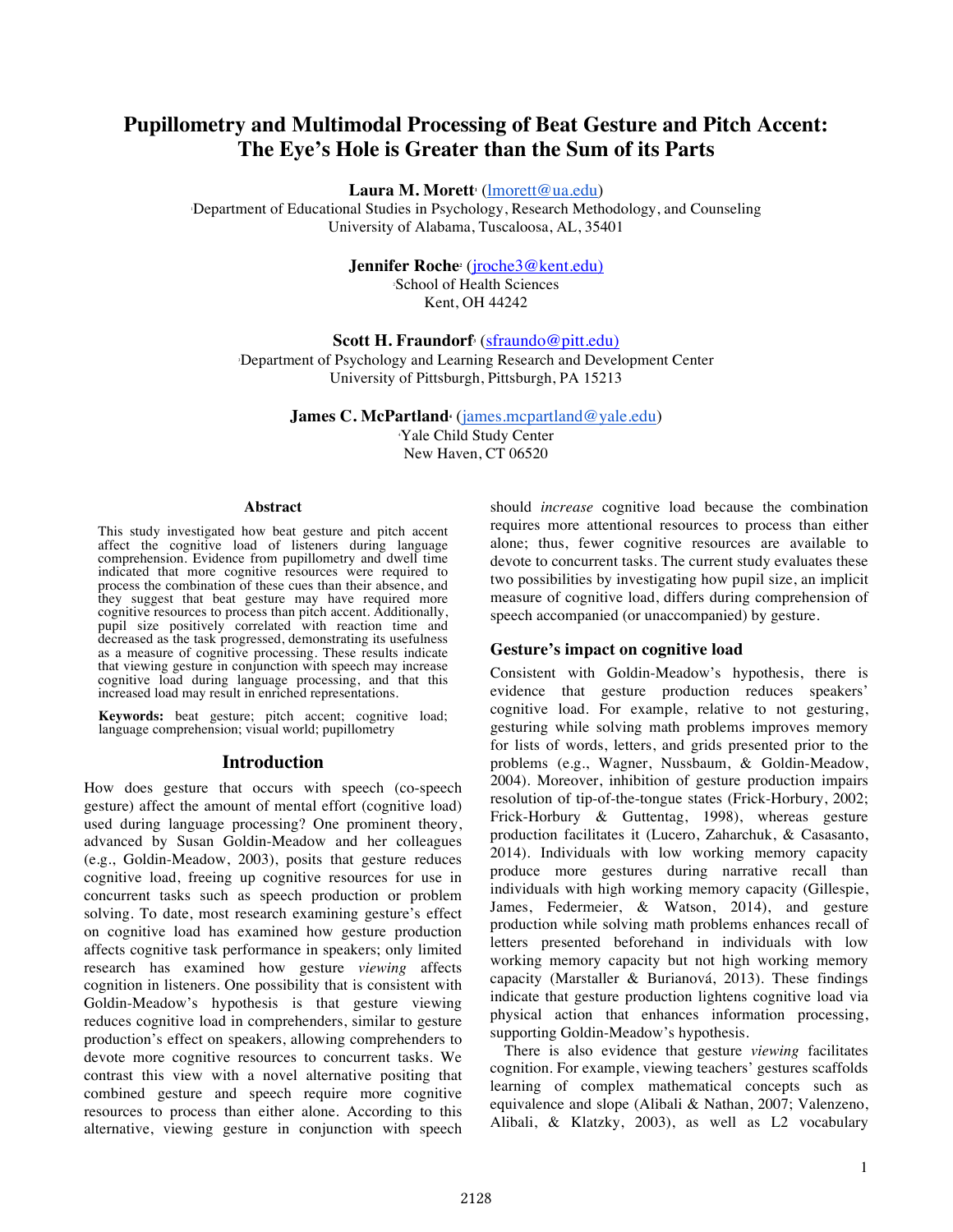# **Pupillometry and Multimodal Processing of Beat Gesture and Pitch Accent: The Eye's Hole is Greater than the Sum of its Parts**

 $\bm{\mathrm{Laura}}$   $\bm{\mathrm{M. Morett}}$  ( $\overline{ \mid \text{morett@ua.edu)}}$ 

1 Department of Educational Studies in Psychology, Research Methodology, and Counseling University of Alabama, Tuscaloosa, AL, 35401

Jennifer Roche<sup>2</sup> (jroche<sup>3</sup>@kent.edu)

2 School of Health Sciences Kent, OH 44242

**Scott H. Fraundorf**<sup>3</sup> (sfraundo@pitt.edu)

3 Department of Psychology and Learning Research and Development Center University of Pittsburgh, Pittsburgh, PA 15213

> **James C. McPartland** (*james.mcpartland@yale.edu*) Yale Child Study Center

New Haven, CT 06520

#### **Abstract**

This study investigated how beat gesture and pitch accent affect the cognitive load of listeners during language comprehension. Evidence from pupillometry and dwell time indicated that more cognitive resources were required to process the combination of these cues than their absence, and they suggest that beat gesture may have required more cognitive resources to process than pitch accent. Additionally, pupil size positively correlated with reaction time and decreased as the task progressed, demonstrating its usefulness as a measure of cognitive processing. These results indicate that viewing gesture in conjunction with speech may increase cognitive load during language processing, and that this increased load may result in enriched representations.

**Keywords:** beat gesture; pitch accent; cognitive load; language comprehension; visual world; pupillometry

#### **Introduction**

How does gesture that occurs with speech (co-speech gesture) affect the amount of mental effort (cognitive load) used during language processing? One prominent theory, advanced by Susan Goldin-Meadow and her colleagues (e.g., Goldin-Meadow, 2003), posits that gesture reduces cognitive load, freeing up cognitive resources for use in concurrent tasks such as speech production or problem solving. To date, most research examining gesture's effect on cognitive load has examined how gesture production affects cognitive task performance in speakers; only limited research has examined how gesture *viewing* affects cognition in listeners. One possibility that is consistent with Goldin-Meadow's hypothesis is that gesture viewing reduces cognitive load in comprehenders, similar to gesture production's effect on speakers, allowing comprehenders to devote more cognitive resources to concurrent tasks. We contrast this view with a novel alternative positing that combined gesture and speech require more cognitive resources to process than either alone. According to this alternative, viewing gesture in conjunction with speech

should *increase* cognitive load because the combination requires more attentional resources to process than either alone; thus, fewer cognitive resources are available to devote to concurrent tasks. The current study evaluates these two possibilities by investigating how pupil size, an implicit measure of cognitive load, differs during comprehension of speech accompanied (or unaccompanied) by gesture.

# **Gesture's impact on cognitive load**

Consistent with Goldin-Meadow's hypothesis, there is evidence that gesture production reduces speakers' cognitive load. For example, relative to not gesturing, gesturing while solving math problems improves memory for lists of words, letters, and grids presented prior to the problems (e.g., Wagner, Nussbaum, & Goldin-Meadow, 2004). Moreover, inhibition of gesture production impairs resolution of tip-of-the-tongue states (Frick-Horbury, 2002; Frick-Horbury & Guttentag, 1998), whereas gesture production facilitates it (Lucero, Zaharchuk, & Casasanto, 2014). Individuals with low working memory capacity produce more gestures during narrative recall than individuals with high working memory capacity (Gillespie, James, Federmeier, & Watson, 2014), and gesture production while solving math problems enhances recall of letters presented beforehand in individuals with low working memory capacity but not high working memory capacity (Marstaller & Burianová, 2013). These findings indicate that gesture production lightens cognitive load via physical action that enhances information processing, supporting Goldin-Meadow's hypothesis.

There is also evidence that gesture *viewing* facilitates cognition. For example, viewing teachers' gestures scaffolds learning of complex mathematical concepts such as equivalence and slope (Alibali & Nathan, 2007; Valenzeno, Alibali, & Klatzky, 2003), as well as L2 vocabulary

2128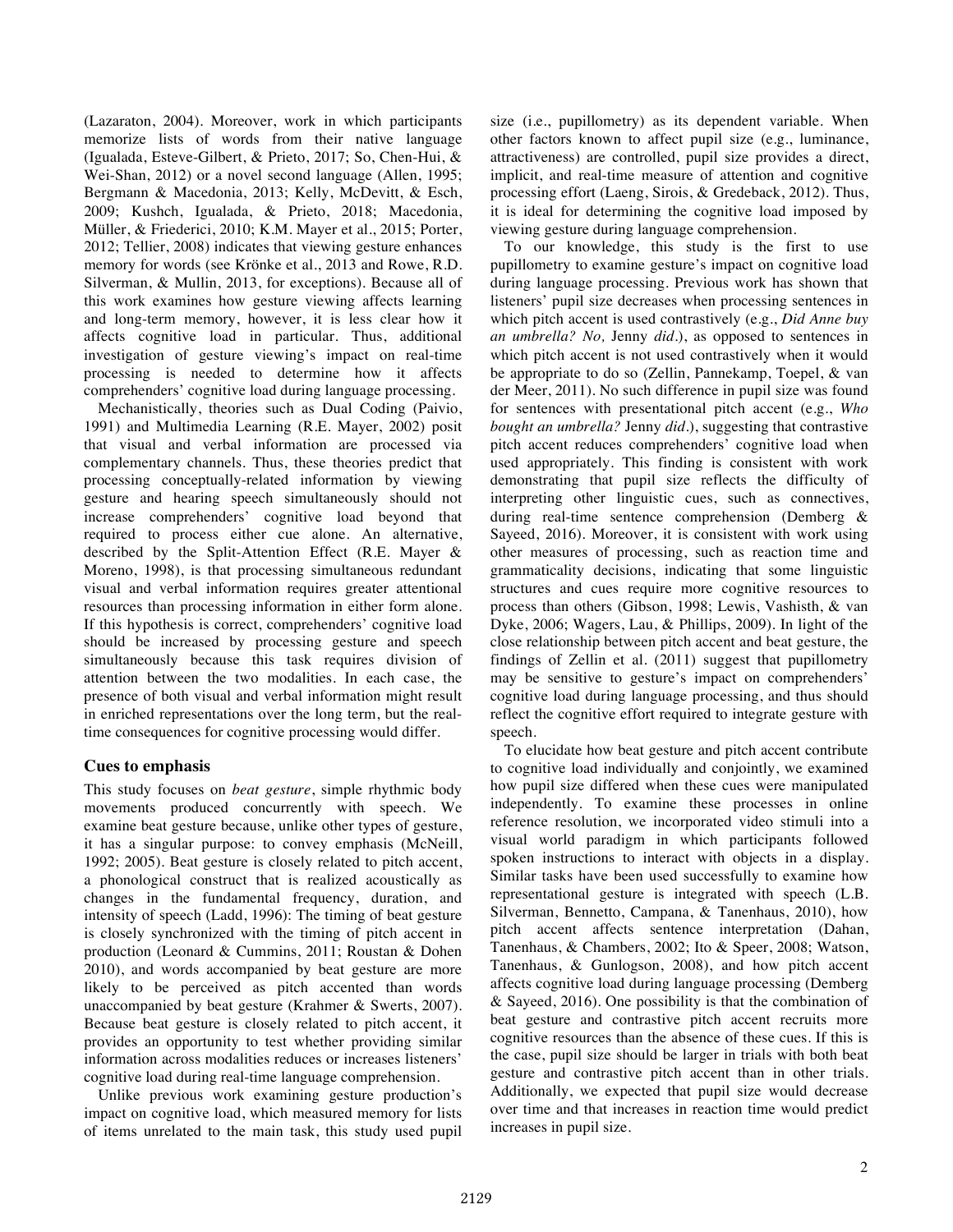(Lazaraton, 2004). Moreover, work in which participants memorize lists of words from their native language (Igualada, Esteve-Gilbert, & Prieto, 2017; So, Chen-Hui, & Wei-Shan, 2012) or a novel second language (Allen, 1995; Bergmann & Macedonia, 2013; Kelly, McDevitt, & Esch, 2009; Kushch, Igualada, & Prieto, 2018; Macedonia, Müller, & Friederici, 2010; K.M. Mayer et al., 2015; Porter, 2012; Tellier, 2008) indicates that viewing gesture enhances memory for words (see Krönke et al., 2013 and Rowe, R.D. Silverman, & Mullin, 2013, for exceptions). Because all of this work examines how gesture viewing affects learning and long-term memory, however, it is less clear how it affects cognitive load in particular. Thus, additional investigation of gesture viewing's impact on real-time processing is needed to determine how it affects comprehenders' cognitive load during language processing.

Mechanistically, theories such as Dual Coding (Paivio, 1991) and Multimedia Learning (R.E. Mayer, 2002) posit that visual and verbal information are processed via complementary channels. Thus, these theories predict that processing conceptually-related information by viewing gesture and hearing speech simultaneously should not increase comprehenders' cognitive load beyond that required to process either cue alone. An alternative, described by the Split-Attention Effect (R.E. Mayer & Moreno, 1998), is that processing simultaneous redundant visual and verbal information requires greater attentional resources than processing information in either form alone. If this hypothesis is correct, comprehenders' cognitive load should be increased by processing gesture and speech simultaneously because this task requires division of attention between the two modalities. In each case, the presence of both visual and verbal information might result in enriched representations over the long term, but the realtime consequences for cognitive processing would differ.

# **Cues to emphasis**

This study focuses on *beat gesture*, simple rhythmic body movements produced concurrently with speech. We examine beat gesture because, unlike other types of gesture, it has a singular purpose: to convey emphasis (McNeill, 1992; 2005). Beat gesture is closely related to pitch accent, a phonological construct that is realized acoustically as changes in the fundamental frequency, duration, and intensity of speech (Ladd, 1996): The timing of beat gesture is closely synchronized with the timing of pitch accent in production (Leonard & Cummins, 2011; Roustan & Dohen 2010), and words accompanied by beat gesture are more likely to be perceived as pitch accented than words unaccompanied by beat gesture (Krahmer & Swerts, 2007). Because beat gesture is closely related to pitch accent, it provides an opportunity to test whether providing similar information across modalities reduces or increases listeners' cognitive load during real-time language comprehension.

Unlike previous work examining gesture production's impact on cognitive load, which measured memory for lists of items unrelated to the main task, this study used pupil size (i.e., pupillometry) as its dependent variable. When other factors known to affect pupil size (e.g., luminance, attractiveness) are controlled, pupil size provides a direct, implicit, and real-time measure of attention and cognitive processing effort (Laeng, Sirois, & Gredeback, 2012). Thus, it is ideal for determining the cognitive load imposed by viewing gesture during language comprehension.

To our knowledge, this study is the first to use pupillometry to examine gesture's impact on cognitive load during language processing. Previous work has shown that listeners' pupil size decreases when processing sentences in which pitch accent is used contrastively (e.g., *Did Anne buy an umbrella? No,* Jenny *did.*), as opposed to sentences in which pitch accent is not used contrastively when it would be appropriate to do so (Zellin, Pannekamp, Toepel, & van der Meer, 2011). No such difference in pupil size was found for sentences with presentational pitch accent (e.g., *Who bought an umbrella?* Jenny *did.*), suggesting that contrastive pitch accent reduces comprehenders' cognitive load when used appropriately. This finding is consistent with work demonstrating that pupil size reflects the difficulty of interpreting other linguistic cues, such as connectives, during real-time sentence comprehension (Demberg & Sayeed, 2016). Moreover, it is consistent with work using other measures of processing, such as reaction time and grammaticality decisions, indicating that some linguistic structures and cues require more cognitive resources to process than others (Gibson, 1998; Lewis, Vashisth, & van Dyke, 2006; Wagers, Lau, & Phillips, 2009). In light of the close relationship between pitch accent and beat gesture, the findings of Zellin et al. (2011) suggest that pupillometry may be sensitive to gesture's impact on comprehenders' cognitive load during language processing, and thus should reflect the cognitive effort required to integrate gesture with speech.

To elucidate how beat gesture and pitch accent contribute to cognitive load individually and conjointly, we examined how pupil size differed when these cues were manipulated independently. To examine these processes in online reference resolution, we incorporated video stimuli into a visual world paradigm in which participants followed spoken instructions to interact with objects in a display. Similar tasks have been used successfully to examine how representational gesture is integrated with speech (L.B. Silverman, Bennetto, Campana, & Tanenhaus, 2010), how pitch accent affects sentence interpretation (Dahan, Tanenhaus, & Chambers, 2002; Ito & Speer, 2008; Watson, Tanenhaus, & Gunlogson, 2008), and how pitch accent affects cognitive load during language processing (Demberg & Sayeed, 2016). One possibility is that the combination of beat gesture and contrastive pitch accent recruits more cognitive resources than the absence of these cues. If this is the case, pupil size should be larger in trials with both beat gesture and contrastive pitch accent than in other trials. Additionally, we expected that pupil size would decrease over time and that increases in reaction time would predict increases in pupil size.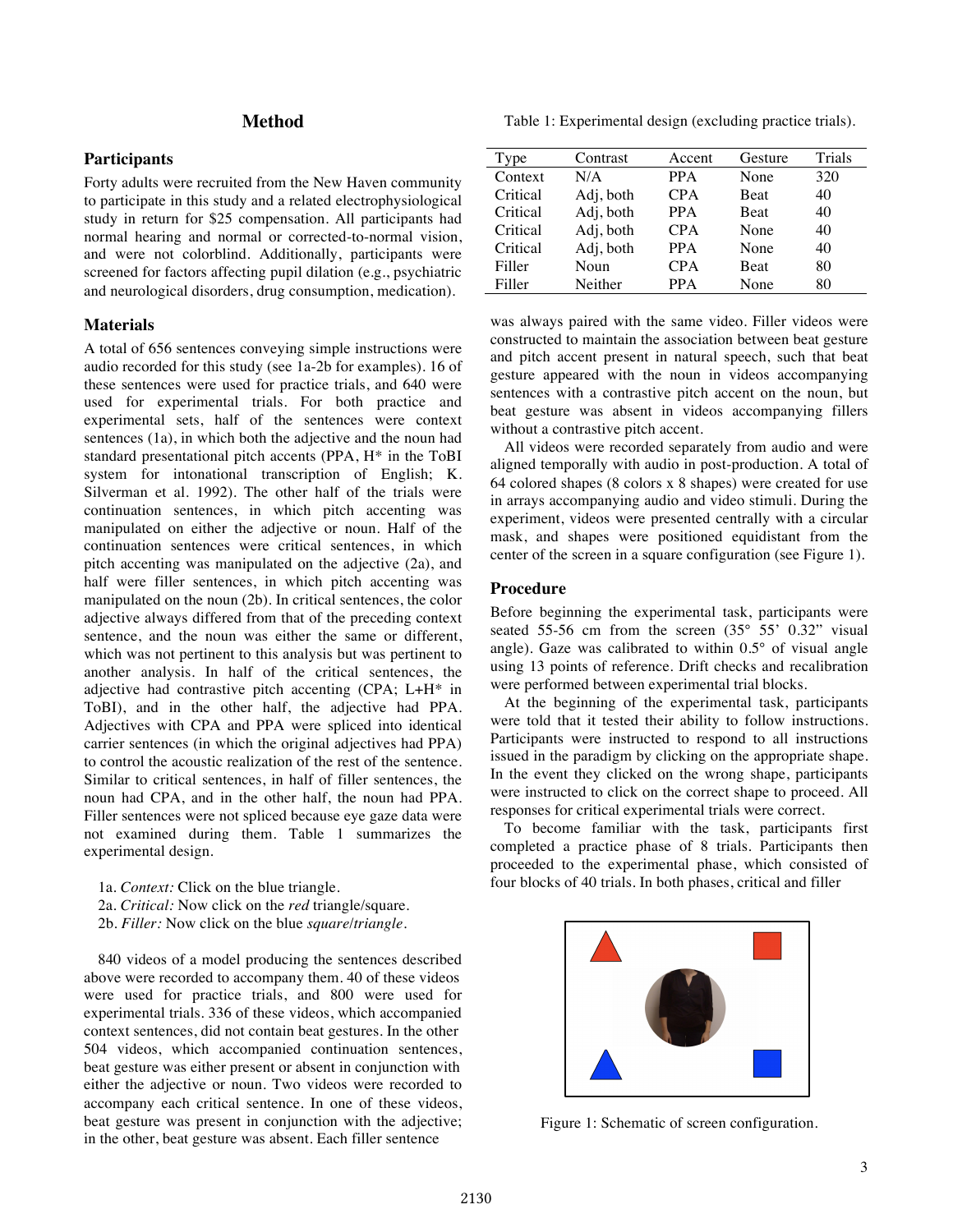# **Method**

# **Participants**

Forty adults were recruited from the New Haven community to participate in this study and a related electrophysiological study in return for \$25 compensation. All participants had normal hearing and normal or corrected-to-normal vision, and were not colorblind. Additionally, participants were screened for factors affecting pupil dilation (e.g., psychiatric and neurological disorders, drug consumption, medication).

# **Materials**

A total of 656 sentences conveying simple instructions were audio recorded for this study (see 1a-2b for examples). 16 of these sentences were used for practice trials, and 640 were used for experimental trials. For both practice and experimental sets, half of the sentences were context sentences (1a), in which both the adjective and the noun had standard presentational pitch accents (PPA, H\* in the ToBI system for intonational transcription of English; K. Silverman et al. 1992). The other half of the trials were continuation sentences, in which pitch accenting was manipulated on either the adjective or noun. Half of the continuation sentences were critical sentences, in which pitch accenting was manipulated on the adjective (2a), and half were filler sentences, in which pitch accenting was manipulated on the noun (2b). In critical sentences, the color adjective always differed from that of the preceding context sentence, and the noun was either the same or different, which was not pertinent to this analysis but was pertinent to another analysis. In half of the critical sentences, the adjective had contrastive pitch accenting (CPA; L+H\* in ToBI), and in the other half, the adjective had PPA. Adjectives with CPA and PPA were spliced into identical carrier sentences (in which the original adjectives had PPA) to control the acoustic realization of the rest of the sentence. Similar to critical sentences, in half of filler sentences, the noun had CPA, and in the other half, the noun had PPA. Filler sentences were not spliced because eye gaze data were not examined during them. Table 1 summarizes the experimental design.

- 1a. *Context:* Click on the blue triangle. 2a. *Critical:* Now click on the *red* triangle/square.
- 2b. *Filler:* Now click on the blue *square*/*triangle*.

840 videos of a model producing the sentences described above were recorded to accompany them. 40 of these videos were used for practice trials, and 800 were used for experimental trials. 336 of these videos, which accompanied context sentences, did not contain beat gestures. In the other 504 videos, which accompanied continuation sentences, beat gesture was either present or absent in conjunction with either the adjective or noun. Two videos were recorded to accompany each critical sentence. In one of these videos, beat gesture was present in conjunction with the adjective; in the other, beat gesture was absent. Each filler sentence

Table 1: Experimental design (excluding practice trials).

| Type     | Contrast  | Accent     | Gesture     | Trials |
|----------|-----------|------------|-------------|--------|
| Context  | N/A       | <b>PPA</b> | None        | 320    |
| Critical | Adj, both | <b>CPA</b> | <b>Beat</b> | 40     |
| Critical | Adj, both | <b>PPA</b> | <b>Beat</b> | 40     |
| Critical | Adj, both | <b>CPA</b> | None        | 40     |
| Critical | Adj, both | <b>PPA</b> | None        | 40     |
| Filler   | Noun      | <b>CPA</b> | <b>Beat</b> | 80     |
| Filler   | Neither   | <b>PPA</b> | None        | 80     |

was always paired with the same video. Filler videos were constructed to maintain the association between beat gesture and pitch accent present in natural speech, such that beat gesture appeared with the noun in videos accompanying sentences with a contrastive pitch accent on the noun, but beat gesture was absent in videos accompanying fillers without a contrastive pitch accent.

All videos were recorded separately from audio and were aligned temporally with audio in post-production. A total of 64 colored shapes (8 colors x 8 shapes) were created for use in arrays accompanying audio and video stimuli. During the experiment, videos were presented centrally with a circular mask, and shapes were positioned equidistant from the center of the screen in a square configuration (see Figure 1).

# **Procedure**

Before beginning the experimental task, participants were seated 55-56 cm from the screen (35° 55' 0.32" visual angle). Gaze was calibrated to within 0.5° of visual angle using 13 points of reference. Drift checks and recalibration were performed between experimental trial blocks.

At the beginning of the experimental task, participants were told that it tested their ability to follow instructions. Participants were instructed to respond to all instructions issued in the paradigm by clicking on the appropriate shape. In the event they clicked on the wrong shape, participants were instructed to click on the correct shape to proceed. All responses for critical experimental trials were correct.

To become familiar with the task, participants first completed a practice phase of 8 trials. Participants then proceeded to the experimental phase, which consisted of four blocks of 40 trials. In both phases, critical and filler



Figure 1: Schematic of screen configuration.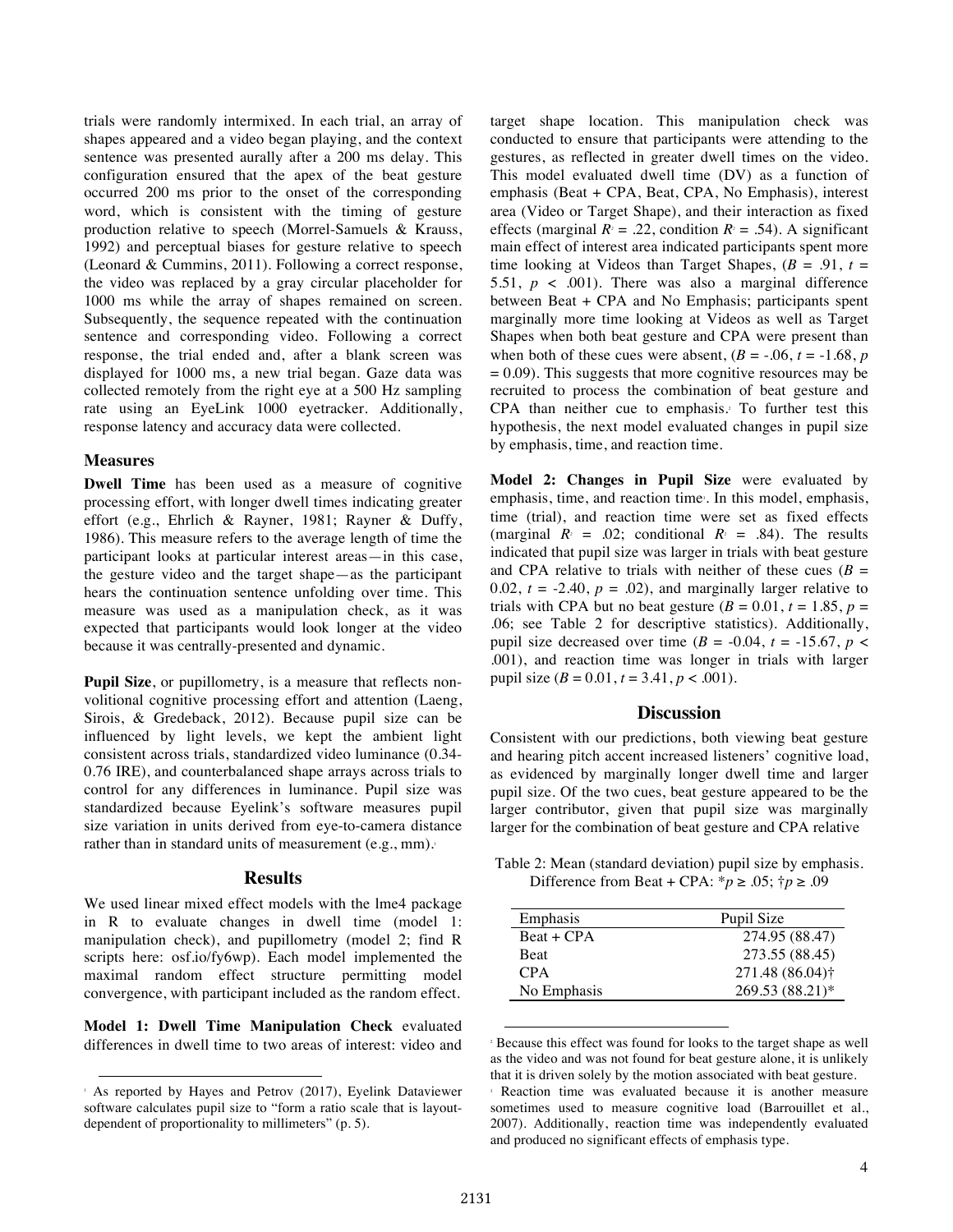trials were randomly intermixed. In each trial, an array of shapes appeared and a video began playing, and the context sentence was presented aurally after a 200 ms delay. This configuration ensured that the apex of the beat gesture occurred 200 ms prior to the onset of the corresponding word, which is consistent with the timing of gesture production relative to speech (Morrel-Samuels & Krauss, 1992) and perceptual biases for gesture relative to speech (Leonard & Cummins, 2011). Following a correct response, the video was replaced by a gray circular placeholder for 1000 ms while the array of shapes remained on screen. Subsequently, the sequence repeated with the continuation sentence and corresponding video. Following a correct response, the trial ended and, after a blank screen was displayed for 1000 ms, a new trial began. Gaze data was collected remotely from the right eye at a 500 Hz sampling rate using an EyeLink 1000 eyetracker. Additionally, response latency and accuracy data were collected.

# **Measures**

**Dwell Time** has been used as a measure of cognitive processing effort, with longer dwell times indicating greater effort (e.g., Ehrlich & Rayner, 1981; Rayner & Duffy, 1986). This measure refers to the average length of time the participant looks at particular interest areas—in this case, the gesture video and the target shape—as the participant hears the continuation sentence unfolding over time. This measure was used as a manipulation check, as it was expected that participants would look longer at the video because it was centrally-presented and dynamic.

**Pupil Size**, or pupillometry, is a measure that reflects nonvolitional cognitive processing effort and attention (Laeng, Sirois, & Gredeback, 2012). Because pupil size can be influenced by light levels, we kept the ambient light consistent across trials, standardized video luminance (0.34- 0.76 IRE), and counterbalanced shape arrays across trials to control for any differences in luminance. Pupil size was standardized because Eyelink's software measures pupil size variation in units derived from eye-to-camera distance rather than in standard units of measurement (e.g., mm).

#### **Results**

We used linear mixed effect models with the lme4 package in R to evaluate changes in dwell time (model 1: manipulation check), and pupillometry (model 2; find R scripts here: osf.io/fy6wp). Each model implemented the maximal random effect structure permitting model convergence, with participant included as the random effect.

**Model 1: Dwell Time Manipulation Check** evaluated differences in dwell time to two areas of interest: video and target shape location. This manipulation check was conducted to ensure that participants were attending to the gestures, as reflected in greater dwell times on the video. This model evaluated dwell time (DV) as a function of emphasis (Beat + CPA, Beat, CPA, No Emphasis), interest area (Video or Target Shape), and their interaction as fixed effects (marginal  $R<sup>2</sup> = .22$ , condition  $R<sup>2</sup> = .54$ ). A significant main effect of interest area indicated participants spent more time looking at Videos than Target Shapes,  $(B = .91, t = )$ 5.51,  $p \lt 0.001$ ). There was also a marginal difference between Beat + CPA and No Emphasis; participants spent marginally more time looking at Videos as well as Target Shapes when both beat gesture and CPA were present than when both of these cues were absent,  $(B = -0.06, t = -1.68, p)$  $= 0.09$ ). This suggests that more cognitive resources may be recruited to process the combination of beat gesture and CPA than neither cue to emphasis.<sup>2</sup> To further test this hypothesis, the next model evaluated changes in pupil size by emphasis, time, and reaction time.

**Model 2: Changes in Pupil Size** were evaluated by emphasis, time, and reaction time<sup>3</sup>. In this model, emphasis, time (trial), and reaction time were set as fixed effects (marginal  $R<sup>2</sup> = .02$ ; conditional  $R<sup>2</sup> = .84$ ). The results indicated that pupil size was larger in trials with beat gesture and CPA relative to trials with neither of these cues ( $B =$ 0.02,  $t = -2.40$ ,  $p = .02$ ), and marginally larger relative to trials with CPA but no beat gesture  $(B = 0.01, t = 1.85, p = 1.00)$ .06; see Table 2 for descriptive statistics). Additionally, pupil size decreased over time ( $B = -0.04$ ,  $t = -15.67$ ,  $p <$ .001), and reaction time was longer in trials with larger pupil size  $(B = 0.01, t = 3.41, p < .001)$ .

### **Discussion**

Consistent with our predictions, both viewing beat gesture and hearing pitch accent increased listeners' cognitive load, as evidenced by marginally longer dwell time and larger pupil size. Of the two cues, beat gesture appeared to be the larger contributor, given that pupil size was marginally larger for the combination of beat gesture and CPA relative

Table 2: Mean (standard deviation) pupil size by emphasis. Difference from Beat + CPA:  $^*p \ge .05$ ;  $^*p \ge .09$ 

| Emphasis     | Pupil Size                  |
|--------------|-----------------------------|
| $Beat + CPA$ | 274.95 (88.47)              |
| <b>Beat</b>  | 273.55 (88.45)              |
| <b>CPA</b>   | 271.48 (86.04) <sup>†</sup> |
| No Emphasis  | 269.53 (88.21)*             |

 <sup>2</sup> Because this effect was found for looks to the target shape as well as the video and was not found for beat gesture alone, it is unlikely that it is driven solely by the motion associated with beat gesture.<br> $\frac{3}{2}$  Reaction time was evaluated because it is another measure

 <sup>1</sup> As reported by Hayes and Petrov (2017), Eyelink Dataviewer software calculates pupil size to "form a ratio scale that is layoutdependent of proportionality to millimeters" (p. 5).

sometimes used to measure cognitive load (Barrouillet et al., 2007). Additionally, reaction time was independently evaluated and produced no significant effects of emphasis type.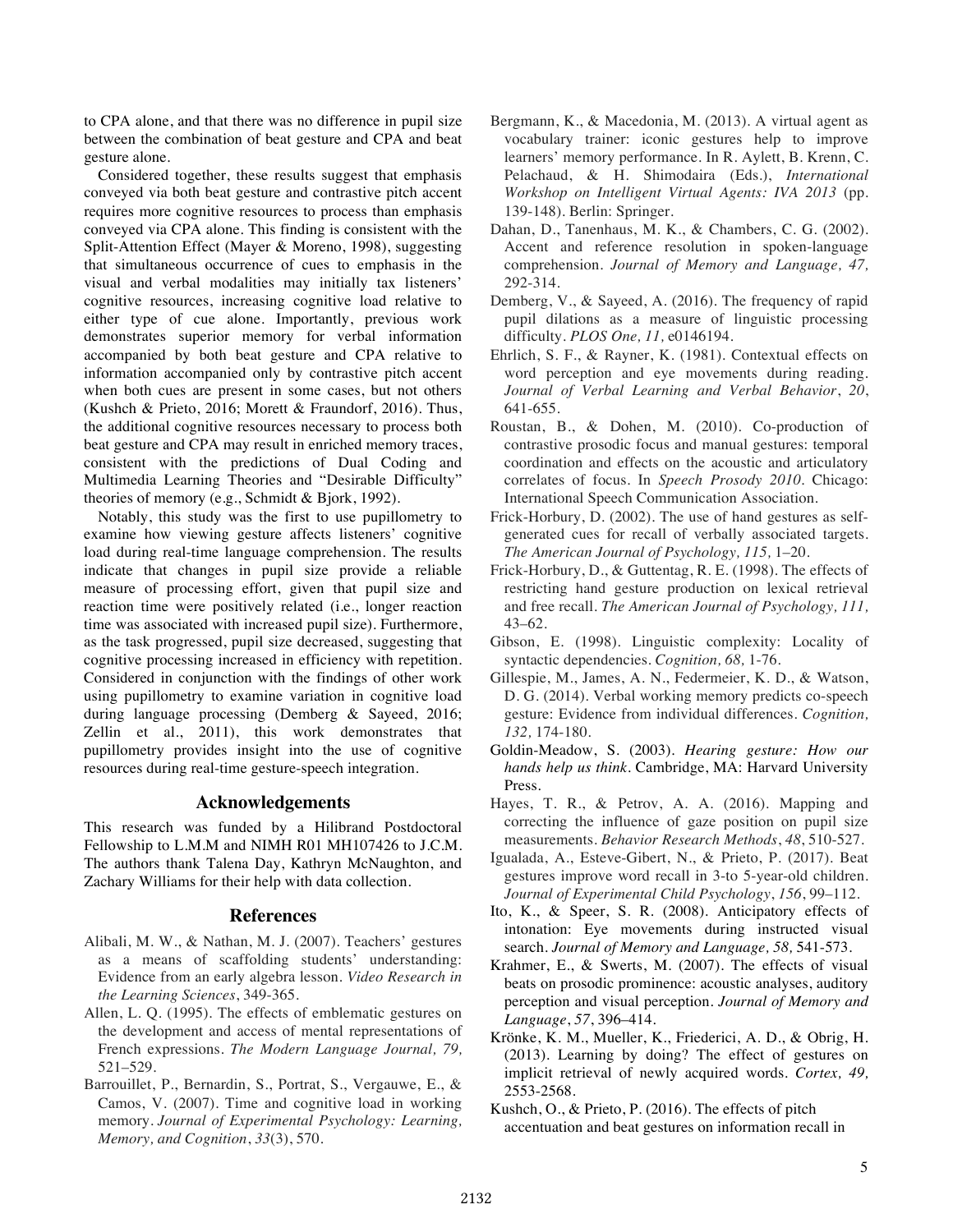to CPA alone, and that there was no difference in pupil size between the combination of beat gesture and CPA and beat gesture alone.

Considered together, these results suggest that emphasis conveyed via both beat gesture and contrastive pitch accent requires more cognitive resources to process than emphasis conveyed via CPA alone. This finding is consistent with the Split-Attention Effect (Mayer & Moreno, 1998), suggesting that simultaneous occurrence of cues to emphasis in the visual and verbal modalities may initially tax listeners' cognitive resources, increasing cognitive load relative to either type of cue alone. Importantly, previous work demonstrates superior memory for verbal information accompanied by both beat gesture and CPA relative to information accompanied only by contrastive pitch accent when both cues are present in some cases, but not others (Kushch & Prieto, 2016; Morett & Fraundorf, 2016). Thus, the additional cognitive resources necessary to process both beat gesture and CPA may result in enriched memory traces, consistent with the predictions of Dual Coding and Multimedia Learning Theories and "Desirable Difficulty" theories of memory (e.g., Schmidt & Bjork, 1992).

Notably, this study was the first to use pupillometry to examine how viewing gesture affects listeners' cognitive load during real-time language comprehension. The results indicate that changes in pupil size provide a reliable measure of processing effort, given that pupil size and reaction time were positively related (i.e., longer reaction time was associated with increased pupil size). Furthermore, as the task progressed, pupil size decreased, suggesting that cognitive processing increased in efficiency with repetition. Considered in conjunction with the findings of other work using pupillometry to examine variation in cognitive load during language processing (Demberg & Sayeed, 2016; Zellin et al., 2011), this work demonstrates that pupillometry provides insight into the use of cognitive resources during real-time gesture-speech integration.

# **Acknowledgements**

This research was funded by a Hilibrand Postdoctoral Fellowship to L.M.M and NIMH R01 MH107426 to J.C.M. The authors thank Talena Day, Kathryn McNaughton, and Zachary Williams for their help with data collection.

# **References**

- Alibali, M. W., & Nathan, M. J. (2007). Teachers' gestures as a means of scaffolding students' understanding: Evidence from an early algebra lesson. *Video Research in the Learning Sciences*, 349-365.
- Allen, L. Q. (1995). The effects of emblematic gestures on the development and access of mental representations of French expressions. *The Modern Language Journal, 79,*  521–529.
- Barrouillet, P., Bernardin, S., Portrat, S., Vergauwe, E., & Camos, V. (2007). Time and cognitive load in working memory. *Journal of Experimental Psychology: Learning, Memory, and Cognition*, *33*(3), 570.
- Bergmann, K., & Macedonia, M. (2013). A virtual agent as vocabulary trainer: iconic gestures help to improve learners' memory performance. In R. Aylett, B. Krenn, C. Pelachaud, & H. Shimodaira (Eds.), *International Workshop on Intelligent Virtual Agents: IVA 2013* (pp. 139-148). Berlin: Springer.
- Dahan, D., Tanenhaus, M. K., & Chambers, C. G. (2002). Accent and reference resolution in spoken-language comprehension. *Journal of Memory and Language, 47,* 292-314.
- Demberg, V., & Sayeed, A. (2016). The frequency of rapid pupil dilations as a measure of linguistic processing difficulty. *PLOS One, 11,* e0146194.
- Ehrlich, S. F., & Rayner, K. (1981). Contextual effects on word perception and eye movements during reading. *Journal of Verbal Learning and Verbal Behavior*, *20*, 641-655.
- Roustan, B., & Dohen, M. (2010). Co-production of contrastive prosodic focus and manual gestures: temporal coordination and effects on the acoustic and articulatory correlates of focus. In *Speech Prosody 2010*. Chicago: International Speech Communication Association.
- Frick-Horbury, D. (2002). The use of hand gestures as selfgenerated cues for recall of verbally associated targets. *The American Journal of Psychology, 115,* 1–20.
- Frick-Horbury, D., & Guttentag, R. E. (1998). The effects of restricting hand gesture production on lexical retrieval and free recall. *The American Journal of Psychology, 111,*  43–62.
- Gibson, E. (1998). Linguistic complexity: Locality of syntactic dependencies. *Cognition, 68,* 1-76.
- Gillespie, M., James, A. N., Federmeier, K. D., & Watson, D. G. (2014). Verbal working memory predicts co-speech gesture: Evidence from individual differences. *Cognition, 132,* 174-180.
- Goldin-Meadow, S. (2003). *Hearing gesture: How our hands help us think.* Cambridge, MA: Harvard University Press.
- Hayes, T. R., & Petrov, A. A. (2016). Mapping and correcting the influence of gaze position on pupil size measurements. *Behavior Research Methods*, *48*, 510-527.
- Igualada, A., Esteve-Gibert, N., & Prieto, P. (2017). Beat gestures improve word recall in 3-to 5-year-old children. *Journal of Experimental Child Psychology*, *156*, 99–112.
- Ito, K., & Speer, S. R. (2008). Anticipatory effects of intonation: Eye movements during instructed visual search. *Journal of Memory and Language, 58,* 541-573.
- Krahmer, E., & Swerts, M. (2007). The effects of visual beats on prosodic prominence: acoustic analyses, auditory perception and visual perception. *Journal of Memory and Language*, *57*, 396–414.
- Krönke, K. M., Mueller, K., Friederici, A. D., & Obrig, H. (2013). Learning by doing? The effect of gestures on implicit retrieval of newly acquired words. *Cortex, 49,*  2553-2568.
- Kushch, O., & Prieto, P. (2016). The effects of pitch accentuation and beat gestures on information recall in